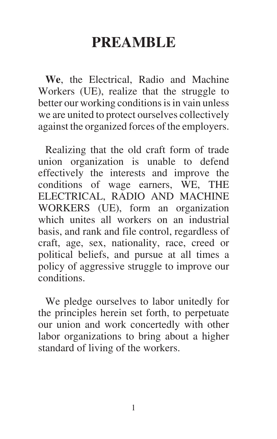## **PREAMBLE**

**We**, the Electrical, Radio and Machine Workers (UE), realize that the struggle to better our working conditions is in vain unless we are united to protect ourselves collectively against the organized forces of the employers.

Realizing that the old craft form of trade union organization is unable to defend effectively the interests and improve the conditions of wage earners, WE, THE ELECTRICAL, RADIO AND MACHINE WORKERS (UE), form an organization which unites all workers on an industrial basis, and rank and file control, regardless of craft, age, sex, nationality, race, creed or political beliefs, and pursue at all times a policy of aggressive struggle to improve our conditions.

We pledge ourselves to labor unitedly for the principles herein set forth, to perpetuate our union and work concertedly with other labor organizations to bring about a higher standard of living of the workers.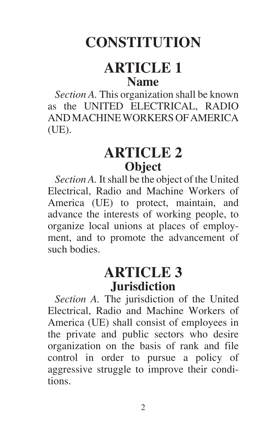# **CONSTITUTION**

## **ARTICLE 1 Name**

*Section A.* This organization shall be known as the UNITED ELECTRICAL, RADIO AND MACHINE WORKERS OF AMERICA (UE).

## **ARTICLE 2 Object**

*Section A.* It shall be the object of the United Electrical, Radio and Machine Workers of America (UE) to protect, maintain, and advance the interests of working people, to organize local unions at places of employment, and to promote the advancement of such bodies.

#### **ARTICLE 3 Jurisdiction**

*Section A.* The jurisdiction of the United Electrical, Radio and Machine Workers of America (UE) shall consist of employees in the private and public sectors who desire organization on the basis of rank and file control in order to pursue a policy of aggressive struggle to improve their conditions.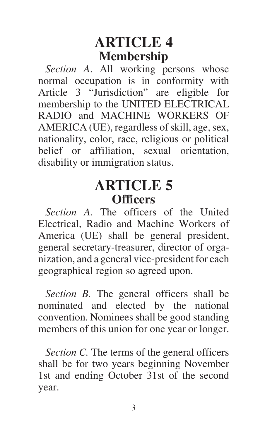#### **ARTICLE 4 Membership**

*Section A*. All working persons whose normal occupation is in conformity with Article 3 "Jurisdiction" are eligible for membership to the UNITED ELECTRICAL RADIO and MACHINE WORKERS OF AMERICA (UE), regardless of skill, age, sex, nationality, color, race, religious or political belief or affiliation, sexual orientation, disability or immigration status.

#### **ARTICLE 5 Officers**

*Section A.* The officers of the United Electrical, Radio and Machine Workers of America (UE) shall be general president, general secretary-treasurer, director of organization, and a general vice-president for each geographical region so agreed upon.

*Section B.* The general officers shall be nominated and elected by the national convention. Nominees shall be good standing members of this union for one year or longer.

*Section C.* The terms of the general officers shall be for two years beginning November 1st and ending October 31st of the second year.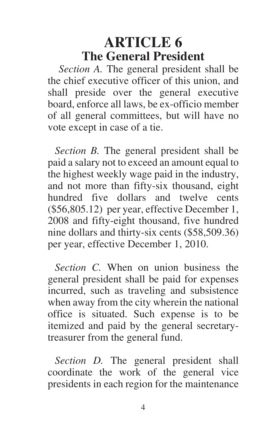#### **ARTICLE 6 The General President**

*Section A.* The general president shall be the chief executive officer of this union, and shall preside over the general executive board, enforce all laws, be ex-officio member of all general committees, but will have no vote except in case of a tie.

*Section B.* The general president shall be paid a salary not to exceed an amount equal to the highest weekly wage paid in the industry, and not more than fifty-six thousand, eight hundred five dollars and twelve cents (\$56,805.12) per year, effective December 1, 2008 and fifty-eight thousand, five hundred nine dollars and thirty-six cents (\$58,509.36) per year, effective December 1, 2010.

*Section C.* When on union business the general president shall be paid for expenses incurred, such as traveling and subsistence when away from the city wherein the national office is situated. Such expense is to be itemized and paid by the general secretarytreasurer from the general fund.

*Section D.* The general president shall coordinate the work of the general vice presidents in each region for the maintenance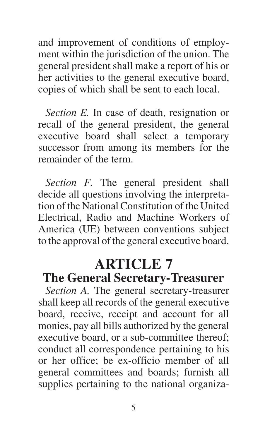and improvement of conditions of employment within the jurisdiction of the union. The general president shall make a report of his or her activities to the general executive board, copies of which shall be sent to each local.

*Section E.* In case of death, resignation or recall of the general president, the general executive board shall select a temporary successor from among its members for the remainder of the term.

*Section F.* The general president shall decide all questions involving the interpretation of the National Constitution of the United Electrical, Radio and Machine Workers of America (UE) between conventions subject to the approval of the general executive board.

#### **ARTICLE 7**

#### **The General Secretary-Treasurer**

*Section A.* The general secretary-treasurer shall keep all records of the general executive board, receive, receipt and account for all monies, pay all bills authorized by the general executive board, or a sub-committee thereof; conduct all correspondence pertaining to his or her office; be ex-officio member of all general committees and boards; furnish all supplies pertaining to the national organiza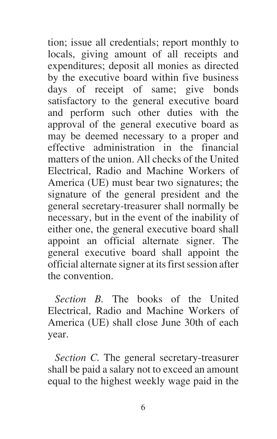tion; issue all credentials; report monthly to locals, giving amount of all receipts and expenditures; deposit all monies as directed by the executive board within five business days of receipt of same; give bonds satisfactory to the general executive board and perform such other duties with the approval of the general executive board as may be deemed necessary to a proper and effective administration in the financial matters of the union. All checks of the United Electrical, Radio and Machine Workers of America (UE) must bear two signatures; the signature of the general president and the general secretary-treasurer shall normally be necessary, but in the event of the inability of either one, the general executive board shall appoint an official alternate signer. The general executive board shall appoint the official alternate signer at its first session after the convention.

*Section B.* The books of the United Electrical, Radio and Machine Workers of America (UE) shall close June 30th of each year.

*Section C.* The general secretary-treasurer shall be paid a salary not to exceed an amount equal to the highest weekly wage paid in the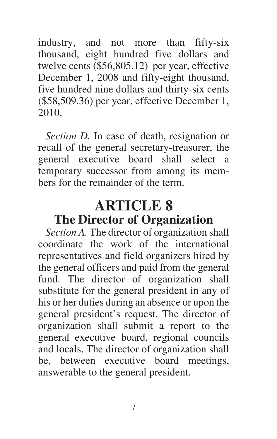industry, and not more than fifty-six thousand, eight hundred five dollars and twelve cents (\$56,805.12) per year, effective December 1, 2008 and fifty-eight thousand, five hundred nine dollars and thirty-six cents (\$58,509.36) per year, effective December 1, 2010.

*Section D.* In case of death, resignation or recall of the general secretary-treasurer, the general executive board shall select a temporary successor from among its members for the remainder of the term.

## **ARTICLE 8 The Director of Organization**

*Section A.* The director of organization shall coordinate the work of the international representatives and field organizers hired by the general officers and paid from the general fund. The director of organization shall substitute for the general president in any of his or her duties during an absence or upon the general president's request. The director of organization shall submit a report to the general executive board, regional councils and locals. The director of organization shall be, between executive board meetings, answerable to the general president.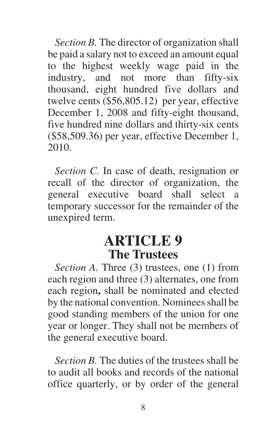*Section B.* The director of organization shall be paid a salary not to exceed an amount equal to the highest weekly wage paid in the industry, and not more than fifty-six thousand, eight hundred five dollars and twelve cents (\$56,805.12) per year, effective December 1, 2008 and fifty-eight thousand, five hundred nine dollars and thirty-six cents (\$58,509.36) per year, effective December 1, 2010.

*Section C.* In case of death, resignation or recall of the director of organization, the general executive board shall select a temporary successor for the remainder of the unexpired term.

#### **ARTICLE 9 The Trustees**

*Section A.* Three (3) trustees, one (1) from each region and three (3) alternates, one from each region**,** shall be nominated and elected by the national convention. Nominees shall be good standing members of the union for one year or longer. They shall not be members of the general executive board.

*Section B.* The duties of the trustees shall be to audit all books and records of the national office quarterly, or by order of the general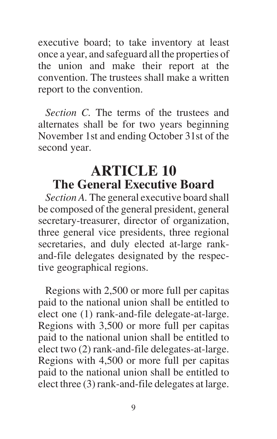executive board; to take inventory at least once a year, and safeguard all the properties of the union and make their report at the convention. The trustees shall make a written report to the convention.

*Section C.* The terms of the trustees and alternates shall be for two years beginning November 1st and ending October 31st of the second year.

#### **ARTICLE 10 The General Executive Board**

*Section A.* The general executive board shall be composed of the general president, general secretary-treasurer, director of organization, three general vice presidents, three regional secretaries, and duly elected at-large rankand-file delegates designated by the respective geographical regions.

Regions with 2,500 or more full per capitas paid to the national union shall be entitled to elect one (1) rank-and-file delegate-at-large. Regions with 3,500 or more full per capitas paid to the national union shall be entitled to elect two (2) rank-and-file delegates-at-large. Regions with 4,500 or more full per capitas paid to the national union shall be entitled to elect three (3) rank-and-file delegates at large.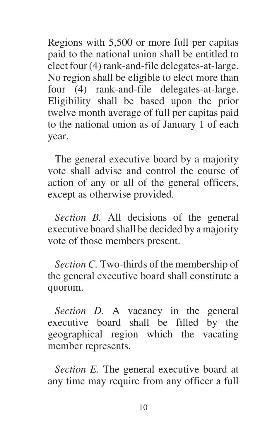Regions with 5,500 or more full per capitas paid to the national union shall be entitled to elect four (4) rank-and-file delegates-at-large. No region shall be eligible to elect more than four (4) rank-and-file delegates-at-large. Eligibility shall be based upon the prior twelve month average of full per capitas paid to the national union as of January 1 of each year.

The general executive board by a majority vote shall advise and control the course of action of any or all of the general officers, except as otherwise provided.

*Section B.* All decisions of the general executive board shall be decided by a majority vote of those members present.

*Section C.* Two-thirds of the membership of the general executive board shall constitute a quorum.

*Section D.* A vacancy in the general executive board shall be filled by the geographical region which the vacating member represents.

*Section E.* The general executive board at any time may require from any officer a full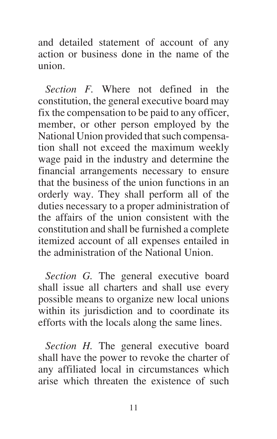and detailed statement of account of any action or business done in the name of the union.

*Section F.* Where not defined in the constitution, the general executive board may fix the compensation to be paid to any officer, member, or other person employed by the National Union provided that such compensation shall not exceed the maximum weekly wage paid in the industry and determine the financial arrangements necessary to ensure that the business of the union functions in an orderly way. They shall perform all of the duties necessary to a proper administration of the affairs of the union consistent with the constitution and shall be furnished a complete itemized account of all expenses entailed in the administration of the National Union.

*Section G.* The general executive board shall issue all charters and shall use every possible means to organize new local unions within its jurisdiction and to coordinate its efforts with the locals along the same lines.

*Section H.* The general executive board shall have the power to revoke the charter of any affiliated local in circumstances which arise which threaten the existence of such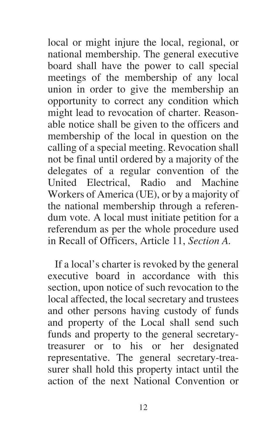local or might injure the local, regional, or national membership. The general executive board shall have the power to call special meetings of the membership of any local union in order to give the membership an opportunity to correct any condition which might lead to revocation of charter. Reasonable notice shall be given to the officers and membership of the local in question on the calling of a special meeting. Revocation shall not be final until ordered by a majority of the delegates of a regular convention of the United Electrical, Radio and Machine Workers of America (UE), or by a majority of the national membership through a referendum vote. A local must initiate petition for a referendum as per the whole procedure used in Recall of Officers, Article 11, *Section A.*

If a local's charter is revoked by the general executive board in accordance with this section, upon notice of such revocation to the local affected, the local secretary and trustees and other persons having custody of funds and property of the Local shall send such funds and property to the general secretarytreasurer or to his or her designated representative. The general secretary-treasurer shall hold this property intact until the action of the next National Convention or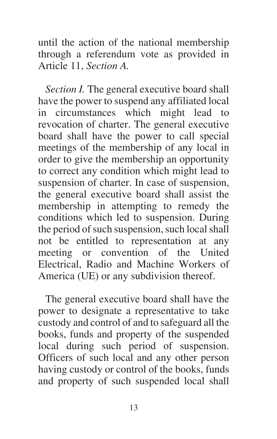until the action of the national membership through a referendum vote as provided in Article 11, *Section A.*

*Section I.* The general executive board shall have the power to suspend any affiliated local in circumstances which might lead to revocation of charter. The general executive board shall have the power to call special meetings of the membership of any local in order to give the membership an opportunity to correct any condition which might lead to suspension of charter. In case of suspension, the general executive board shall assist the membership in attempting to remedy the conditions which led to suspension. During the period of such suspension, such local shall not be entitled to representation at any meeting or convention of the United Electrical, Radio and Machine Workers of America (UE) or any subdivision thereof.

The general executive board shall have the power to designate a representative to take custody and control of and to safeguard all the books, funds and property of the suspended local during such period of suspension. Officers of such local and any other person having custody or control of the books, funds and property of such suspended local shall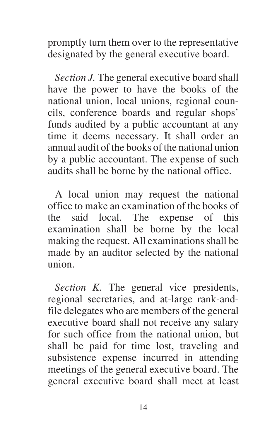promptly turn them over to the representative designated by the general executive board.

*Section J.* The general executive board shall have the power to have the books of the national union, local unions, regional councils, conference boards and regular shops' funds audited by a public accountant at any time it deems necessary. It shall order an annual audit of the books of the national union by a public accountant. The expense of such audits shall be borne by the national office.

A local union may request the national office to make an examination of the books of the said local. The expense of this examination shall be borne by the local making the request. All examinations shall be made by an auditor selected by the national union.

*Section K.* The general vice presidents, regional secretaries, and at-large rank-andfile delegates who are members of the general executive board shall not receive any salary for such office from the national union, but shall be paid for time lost, traveling and subsistence expense incurred in attending meetings of the general executive board. The general executive board shall meet at least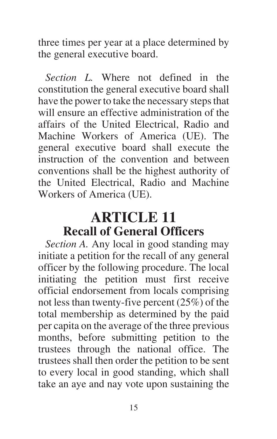three times per year at a place determined by the general executive board.

*Section L.* Where not defined in the constitution the general executive board shall have the power to take the necessary steps that will ensure an effective administration of the affairs of the United Electrical, Radio and Machine Workers of America (UE). The general executive board shall execute the instruction of the convention and between conventions shall be the highest authority of the United Electrical, Radio and Machine Workers of America (UE).

## **ARTICLE 11 Recall of General Officers**

*Section A.* Any local in good standing may initiate a petition for the recall of any general officer by the following procedure. The local initiating the petition must first receive official endorsement from locals comprising not less than twenty-five percent (25%) of the total membership as determined by the paid per capita on the average of the three previous months, before submitting petition to the trustees through the national office. The trustees shall then order the petition to be sent to every local in good standing, which shall take an aye and nay vote upon sustaining the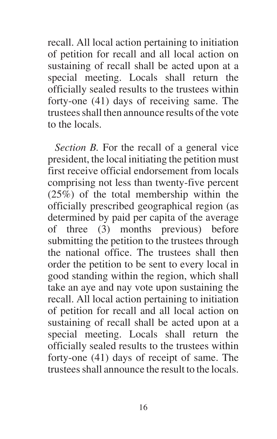recall. All local action pertaining to initiation of petition for recall and all local action on sustaining of recall shall be acted upon at a special meeting. Locals shall return the officially sealed results to the trustees within forty-one (41) days of receiving same. The trustees shall then announce results of the vote to the locals.

*Section B.* For the recall of a general vice president, the local initiating the petition must first receive official endorsement from locals comprising not less than twenty-five percent (25%) of the total membership within the officially prescribed geographical region (as determined by paid per capita of the average of three (3) months previous) before submitting the petition to the trustees through the national office. The trustees shall then order the petition to be sent to every local in good standing within the region, which shall take an aye and nay vote upon sustaining the recall. All local action pertaining to initiation of petition for recall and all local action on sustaining of recall shall be acted upon at a special meeting. Locals shall return the officially sealed results to the trustees within forty-one (41) days of receipt of same. The trustees shall announce the result to the locals.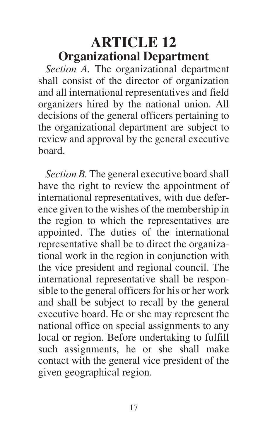#### **ARTICLE 12 Organizational Department**

*Section A.* The organizational department shall consist of the director of organization and all international representatives and field organizers hired by the national union. All decisions of the general officers pertaining to the organizational department are subject to review and approval by the general executive board.

*Section B.* The general executive board shall have the right to review the appointment of international representatives, with due deference given to the wishes of the membership in the region to which the representatives are appointed. The duties of the international representative shall be to direct the organizational work in the region in conjunction with the vice president and regional council. The international representative shall be responsible to the general officers for his or her work and shall be subject to recall by the general executive board. He or she may represent the national office on special assignments to any local or region. Before undertaking to fulfill such assignments, he or she shall make contact with the general vice president of the given geographical region.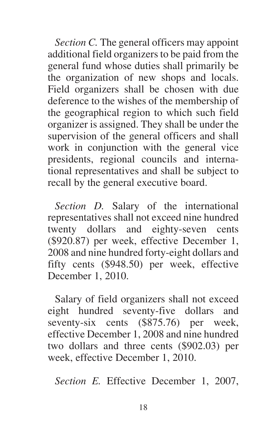*Section C.* The general officers may appoint additional field organizers to be paid from the general fund whose duties shall primarily be the organization of new shops and locals. Field organizers shall be chosen with due deference to the wishes of the membership of the geographical region to which such field organizer is assigned. They shall be under the supervision of the general officers and shall work in conjunction with the general vice presidents, regional councils and international representatives and shall be subject to recall by the general executive board.

*Section D.* Salary of the international representatives shall not exceed nine hundred twenty dollars and eighty-seven cents (\$920.87) per week, effective December 1, 2008 and nine hundred forty-eight dollars and fifty cents (\$948.50) per week, effective December 1, 2010.

Salary of field organizers shall not exceed eight hundred seventy-five dollars and seventy-six cents (\$875.76) per week, effective December 1, 2008 and nine hundred two dollars and three cents (\$902.03) per week, effective December 1, 2010.

*Section E.* Effective December 1, 2007,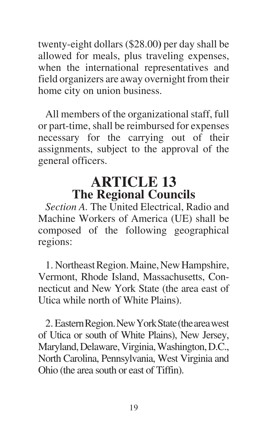twenty-eight dollars (\$28.00**)** per day shall be allowed for meals, plus traveling expenses, when the international representatives and field organizers are away overnight from their home city on union business.

All members of the organizational staff, full or part-time, shall be reimbursed for expenses necessary for the carrying out of their assignments, subject to the approval of the general officers.

#### **ARTICLE 13 The Regional Councils**

*Section A.* The United Electrical, Radio and Machine Workers of America (UE) shall be composed of the following geographical regions:

1. Northeast Region. Maine, New Hampshire, Vermont, Rhode Island, Massachusetts, Connecticut and New York State (the area east of Utica while north of White Plains).

2. Eastern Region. New York State (the area west of Utica or south of White Plains), New Jersey, Maryland, Delaware, Virginia, Washington, D.C., North Carolina, Pennsylvania, West Virginia and Ohio (the area south or east of Tiffin).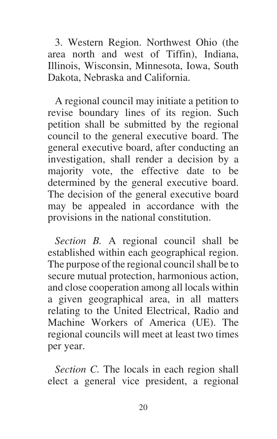3. Western Region. Northwest Ohio (the area north and west of Tiffin), Indiana, Illinois, Wisconsin, Minnesota, Iowa, South Dakota, Nebraska and California.

A regional council may initiate a petition to revise boundary lines of its region. Such petition shall be submitted by the regional council to the general executive board. The general executive board, after conducting an investigation, shall render a decision by a majority vote, the effective date to be determined by the general executive board. The decision of the general executive board may be appealed in accordance with the provisions in the national constitution.

*Section B.* A regional council shall be established within each geographical region. The purpose of the regional council shall be to secure mutual protection, harmonious action, and close cooperation among all locals within a given geographical area, in all matters relating to the United Electrical, Radio and Machine Workers of America (UE). The regional councils will meet at least two times per year.

*Section C.* The locals in each region shall elect a general vice president, a regional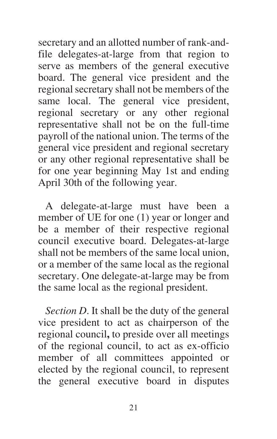secretary and an allotted number of rank-andfile delegates-at-large from that region to serve as members of the general executive board. The general vice president and the regional secretary shall not be members of the same local. The general vice president, regional secretary or any other regional representative shall not be on the full-time payroll of the national union. The terms of the general vice president and regional secretary or any other regional representative shall be for one year beginning May 1st and ending April 30th of the following year.

A delegate-at-large must have been a member of UE for one (1) year or longer and be a member of their respective regional council executive board. Delegates-at-large shall not be members of the same local union, or a member of the same local as the regional secretary. One delegate-at-large may be from the same local as the regional president.

*Section D*. It shall be the duty of the general vice president to act as chairperson of the regional council**,** to preside over all meetings of the regional council, to act as ex-officio member of all committees appointed or elected by the regional council, to represent the general executive board in disputes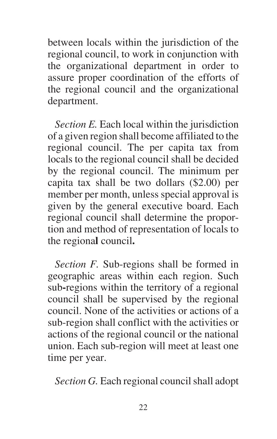between locals within the jurisdiction of the regional council, to work in conjunction with the organizational department in order to assure proper coordination of the efforts of the regional council and the organizational department.

*Section E.* Each local within the jurisdiction of a given region shall become affiliated to the regional council. The per capita tax from locals to the regional council shall be decided by the regional council. The minimum per capita tax shall be two dollars (\$2.00) per member per month, unless special approval is given by the general executive board. Each regional council shall determine the proportion and method of representation of locals to the regiona**l** council**.**

*Section F.* Sub-regions shall be formed in geographic areas within each region. Such sub**-**regions within the territory of a regional council shall be supervised by the regional council. None of the activities or actions of a sub-region shall conflict with the activities or actions of the regional council or the national union. Each sub-region will meet at least one time per year.

*Section G.* Each regional council shall adopt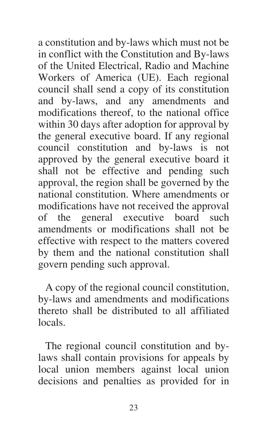a constitution and by-laws which must not be in conflict with the Constitution and By-laws of the United Electrical, Radio and Machine Workers of America (UE). Each regional council shall send a copy of its constitution and by-laws, and any amendments and modifications thereof, to the national office within 30 days after adoption for approval by the general executive board. If any regional council constitution and by-laws is not approved by the general executive board it shall not be effective and pending such approval, the region shall be governed by the national constitution. Where amendments or modifications have not received the approval of the general executive board such amendments or modifications shall not be effective with respect to the matters covered by them and the national constitution shall govern pending such approval.

A copy of the regional council constitution, by-laws and amendments and modifications thereto shall be distributed to all affiliated locals.

The regional council constitution and bylaws shall contain provisions for appeals by local union members against local union decisions and penalties as provided for in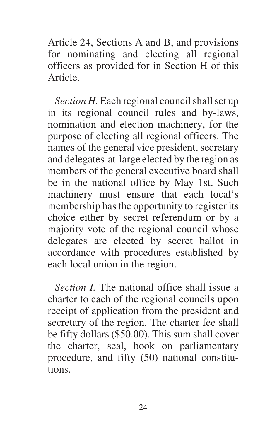Article 24, Sections A and B, and provisions for nominating and electing all regional officers as provided for in Section H of this Article.

*Section H.* Each regional council shall set up in its regional council rules and by-laws, nomination and election machinery, for the purpose of electing all regional officers. The names of the general vice president, secretary and delegates-at-large elected by the region as members of the general executive board shall be in the national office by May 1st. Such machinery must ensure that each local's membership has the opportunity to register its choice either by secret referendum or by a majority vote of the regional council whose delegates are elected by secret ballot in accordance with procedures established by each local union in the region.

*Section I.* The national office shall issue a charter to each of the regional councils upon receipt of application from the president and secretary of the region. The charter fee shall be fifty dollars (\$50.00). This sum shall cover the charter, seal, book on parliamentary procedure, and fifty (50) national constitutions.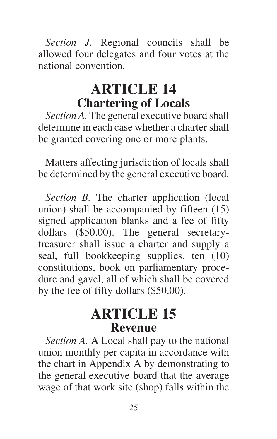*Section J.* Regional councils shall be allowed four delegates and four votes at the national convention.

#### **ARTICLE 14 Chartering of Locals**

*Section A.* The general executive board shall determine in each case whether a charter shall be granted covering one or more plants.

Matters affecting jurisdiction of locals shall be determined by the general executive board.

*Section B.* The charter application (local union) shall be accompanied by fifteen (15) signed application blanks and a fee of fifty dollars (\$50.00). The general secretarytreasurer shall issue a charter and supply a seal, full bookkeeping supplies, ten (10) constitutions, book on parliamentary procedure and gavel, all of which shall be covered by the fee of fifty dollars (\$50.00).

#### **ARTICLE 15 Revenue**

*Section A.* A Local shall pay to the national union monthly per capita in accordance with the chart in Appendix A by demonstrating to the general executive board that the average wage of that work site (shop) falls within the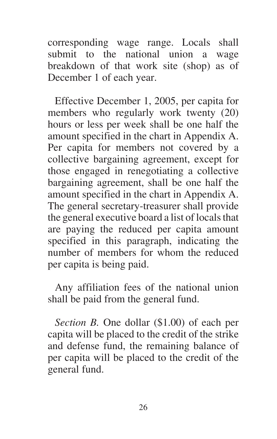corresponding wage range. Locals shall submit to the national union a wage breakdown of that work site (shop) as of December 1 of each year.

Effective December 1, 2005, per capita for members who regularly work twenty (20) hours or less per week shall be one half the amount specified in the chart in Appendix A. Per capita for members not covered by a collective bargaining agreement, except for those engaged in renegotiating a collective bargaining agreement, shall be one half the amount specified in the chart in Appendix A. The general secretary-treasurer shall provide the general executive board a list of locals that are paying the reduced per capita amount specified in this paragraph, indicating the number of members for whom the reduced per capita is being paid.

Any affiliation fees of the national union shall be paid from the general fund.

*Section B.* One dollar (\$1.00) of each per capita will be placed to the credit of the strike and defense fund, the remaining balance of per capita will be placed to the credit of the general fund.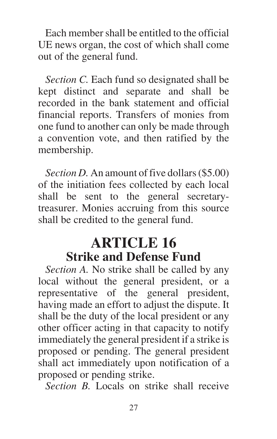Each member shall be entitled to the official UE news organ, the cost of which shall come out of the general fund.

*Section C.* Each fund so designated shall be kept distinct and separate and shall be recorded in the bank statement and official financial reports. Transfers of monies from one fund to another can only be made through a convention vote, and then ratified by the membership.

*Section D.* An amount of five dollars (\$5.00) of the initiation fees collected by each local shall be sent to the general secretarytreasurer. Monies accruing from this source shall be credited to the general fund.

#### **ARTICLE 16 Strike and Defense Fund**

*Section A.* No strike shall be called by any local without the general president, or a representative of the general president, having made an effort to adjust the dispute. It shall be the duty of the local president or any other officer acting in that capacity to notify immediately the general president if a strike is proposed or pending. The general president shall act immediately upon notification of a proposed or pending strike.

*Section B.* Locals on strike shall receive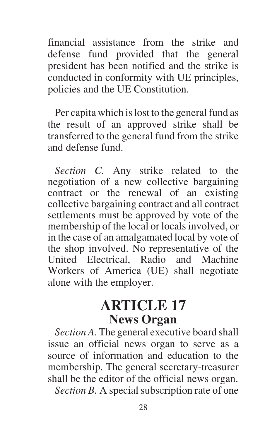financial assistance from the strike and defense fund provided that the general president has been notified and the strike is conducted in conformity with UE principles, policies and the UE Constitution.

Per capita which is lost to the general fund as the result of an approved strike shall be transferred to the general fund from the strike and defense fund.

*Section C.* Any strike related to the negotiation of a new collective bargaining contract or the renewal of an existing collective bargaining contract and all contract settlements must be approved by vote of the membership of the local or locals involved, or in the case of an amalgamated local by vote of the shop involved. No representative of the United Electrical, Radio and Machine Workers of America (UE) shall negotiate alone with the employer.

#### **ARTICLE 17 News Organ**

*Section A.* The general executive board shall issue an official news organ to serve as a source of information and education to the membership. The general secretary-treasurer shall be the editor of the official news organ.

*Section B.* A special subscription rate of one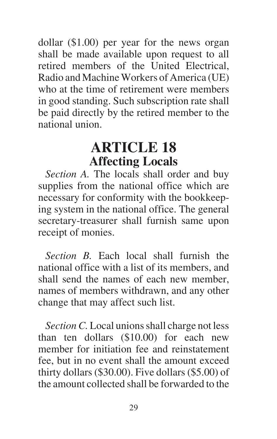dollar (\$1.00) per year for the news organ shall be made available upon request to all retired members of the United Electrical, Radio and Machine Workers of America (UE) who at the time of retirement were members in good standing. Such subscription rate shall be paid directly by the retired member to the national union.

#### **ARTICLE 18 Affecting Locals**

*Section A.* The locals shall order and buy supplies from the national office which are necessary for conformity with the bookkeeping system in the national office. The general secretary-treasurer shall furnish same upon receipt of monies.

*Section B.* Each local shall furnish the national office with a list of its members, and shall send the names of each new member, names of members withdrawn, and any other change that may affect such list.

*Section C.* Local unions shall charge not less than ten dollars (\$10.00) for each new member for initiation fee and reinstatement fee, but in no event shall the amount exceed thirty dollars (\$30.00). Five dollars (\$5.00) of the amount collected shall be forwarded to the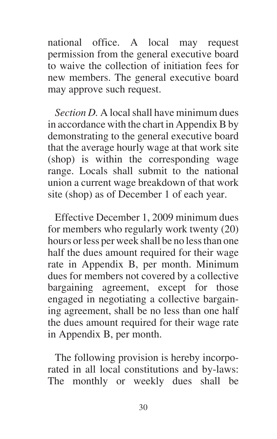national office. A local may request permission from the general executive board to waive the collection of initiation fees for new members. The general executive board may approve such request.

*Section D.* A local shall have minimum dues in accordance with the chart in Appendix B by demonstrating to the general executive board that the average hourly wage at that work site (shop) is within the corresponding wage range. Locals shall submit to the national union a current wage breakdown of that work site (shop) as of December 1 of each year.

Effective December 1, 2009 minimum dues for members who regularly work twenty (20) hours or less per week shall be no less than one half the dues amount required for their wage rate in Appendix B, per month. Minimum dues for members not covered by a collective bargaining agreement, except for those engaged in negotiating a collective bargaining agreement, shall be no less than one half the dues amount required for their wage rate in Appendix B, per month.

The following provision is hereby incorporated in all local constitutions and by-laws: The monthly or weekly dues shall be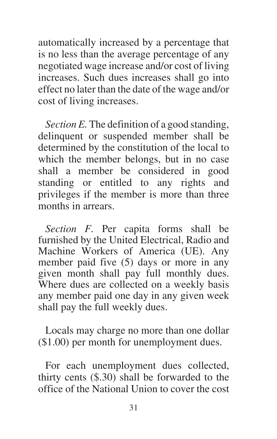automatically increased by a percentage that is no less than the average percentage of any negotiated wage increase and/or cost of living increases. Such dues increases shall go into effect no later than the date of the wage and/or cost of living increases.

*Section E.* The definition of a good standing, delinquent or suspended member shall be determined by the constitution of the local to which the member belongs, but in no case shall a member be considered in good standing or entitled to any rights and privileges if the member is more than three months in arrears.

*Section F.* Per capita forms shall be furnished by the United Electrical, Radio and Machine Workers of America (UE). Any member paid five (5) days or more in any given month shall pay full monthly dues. Where dues are collected on a weekly basis any member paid one day in any given week shall pay the full weekly dues.

Locals may charge no more than one dollar (\$1.00) per month for unemployment dues.

For each unemployment dues collected, thirty cents (\$.30) shall be forwarded to the office of the National Union to cover the cost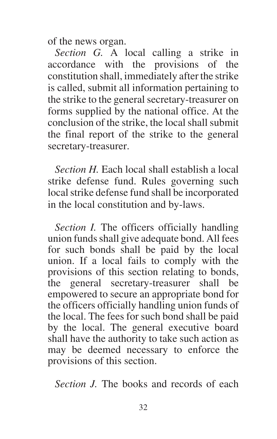of the news organ.

*Section G.* A local calling a strike in accordance with the provisions of the constitution shall, immediately after the strike is called, submit all information pertaining to the strike to the general secretary-treasurer on forms supplied by the national office. At the conclusion of the strike, the local shall submit the final report of the strike to the general secretary-treasurer.

*Section H.* Each local shall establish a local strike defense fund. Rules governing such local strike defense fund shall be incorporated in the local constitution and by-laws.

*Section I.* The officers officially handling union funds shall give adequate bond. All fees for such bonds shall be paid by the local union. If a local fails to comply with the provisions of this section relating to bonds,<br>the general secretary-treasurer shall be the general secretary-treasurer shall be empowered to secure an appropriate bond for the officers officially handling union funds of the local. The fees for such bond shall be paid by the local. The general executive board shall have the authority to take such action as may be deemed necessary to enforce the provisions of this section.

*Section J.* The books and records of each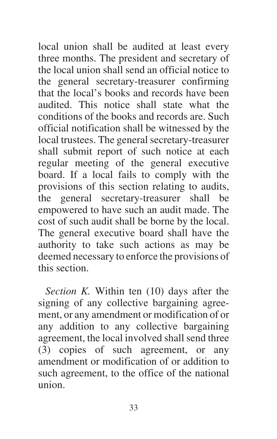local union shall be audited at least every three months. The president and secretary of the local union shall send an official notice to the general secretary-treasurer confirming that the local's books and records have been audited. This notice shall state what the conditions of the books and records are. Such official notification shall be witnessed by the local trustees. The general secretary-treasurer shall submit report of such notice at each regular meeting of the general executive board. If a local fails to comply with the provisions of this section relating to audits, the general secretary-treasurer shall be empowered to have such an audit made. The cost of such audit shall be borne by the local. The general executive board shall have the authority to take such actions as may be deemed necessary to enforce the provisions of this section.

*Section K.* Within ten (10) days after the signing of any collective bargaining agreement, or any amendment or modification of or any addition to any collective bargaining agreement, the local involved shall send three (3) copies of such agreement, or any amendment or modification of or addition to such agreement, to the office of the national union.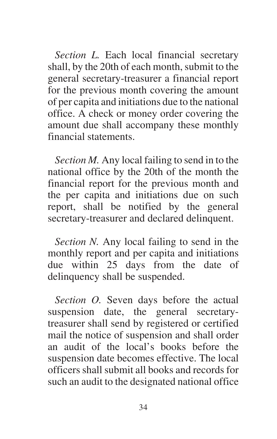*Section L.* Each local financial secretary shall, by the 20th of each month, submit to the general secretary-treasurer a financial report for the previous month covering the amount of per capita and initiations due to the national office. A check or money order covering the amount due shall accompany these monthly financial statements.

*Section M.* Any local failing to send in to the national office by the 20th of the month the financial report for the previous month and the per capita and initiations due on such report, shall be notified by the general secretary-treasurer and declared delinquent.

*Section N.* Any local failing to send in the monthly report and per capita and initiations due within 25 days from the date of delinquency shall be suspended.

*Section O.* Seven days before the actual suspension date, the general secretarytreasurer shall send by registered or certified mail the notice of suspension and shall order an audit of the local's books before the suspension date becomes effective. The local officers shall submit all books and records for such an audit to the designated national office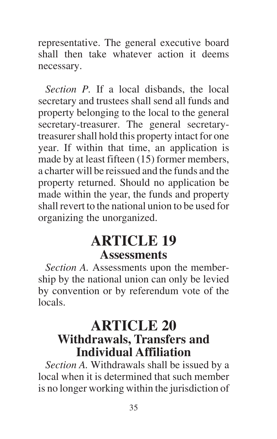representative. The general executive board shall then take whatever action it deems necessary.

*Section P.* If a local disbands, the local secretary and trustees shall send all funds and property belonging to the local to the general secretary-treasurer. The general secretarytreasurer shall hold this property intact for one year. If within that time, an application is made by at least fifteen (15) former members, a charter will be reissued and the funds and the property returned. Should no application be made within the year, the funds and property shall revert to the national union to be used for organizing the unorganized.

#### **ARTICLE 19 Assessments**

*Section A.* Assessments upon the membership by the national union can only be levied by convention or by referendum vote of the locals.

#### **ARTICLE 20 Withdrawals, Transfers and Individual Affiliation**

*Section A.* Withdrawals shall be issued by a local when it is determined that such member is no longer working within the jurisdiction of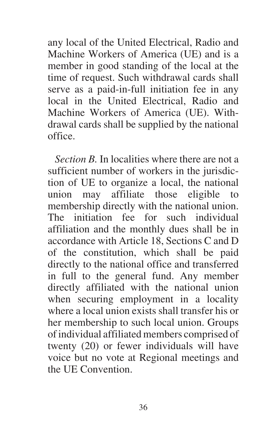any local of the United Electrical, Radio and Machine Workers of America (UE) and is a member in good standing of the local at the time of request. Such withdrawal cards shall serve as a paid-in-full initiation fee in any local in the United Electrical, Radio and Machine Workers of America (UE). Withdrawal cards shall be supplied by the national office.

*Section B.* In localities where there are not a sufficient number of workers in the jurisdiction of UE to organize a local, the national union may affiliate those eligible to membership directly with the national union. The initiation fee for such individual affiliation and the monthly dues shall be in accordance with Article 18, Sections C and D of the constitution, which shall be paid directly to the national office and transferred in full to the general fund. Any member directly affiliated with the national union when securing employment in a locality where a local union exists shall transfer his or her membership to such local union. Groups of individual affiliated members comprised of twenty (20) or fewer individuals will have voice but no vote at Regional meetings and the UE Convention.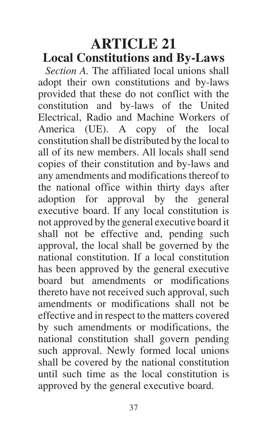#### **ARTICLE 21 Local Constitutions and By-Laws**

*Section A.* The affiliated local unions shall adopt their own constitutions and by-laws provided that these do not conflict with the constitution and by-laws of the United Electrical, Radio and Machine Workers of America (UE). A copy of the local constitution shall be distributed by the local to all of its new members. All locals shall send copies of their constitution and by-laws and any amendments and modifications thereof to the national office within thirty days after adoption for approval by the general executive board. If any local constitution is not approved by the general executive board it shall not be effective and, pending such approval, the local shall be governed by the national constitution. If a local constitution has been approved by the general executive board but amendments or modifications thereto have not received such approval, such amendments or modifications shall not be effective and in respect to the matters covered by such amendments or modifications, the national constitution shall govern pending such approval. Newly formed local unions shall be covered by the national constitution until such time as the local constitution is approved by the general executive board.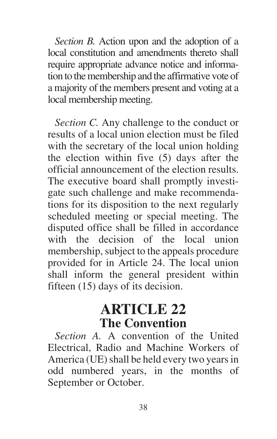*Section B.* Action upon and the adoption of a local constitution and amendments thereto shall require appropriate advance notice and information to the membership and the affirmative vote of a majority of the members present and voting at a local membership meeting.

*Section C.* Any challenge to the conduct or results of a local union election must be filed with the secretary of the local union holding the election within five (5) days after the official announcement of the election results. The executive board shall promptly investigate such challenge and make recommendations for its disposition to the next regularly scheduled meeting or special meeting. The disputed office shall be filled in accordance with the decision of the local union membership, subject to the appeals procedure provided for in Article 24. The local union shall inform the general president within fifteen (15) days of its decision.

#### **ARTICLE 22 The Convention**

*Section A.* A convention of the United Electrical, Radio and Machine Workers of America (UE) shall be held every two years in odd numbered years, in the months of September or October.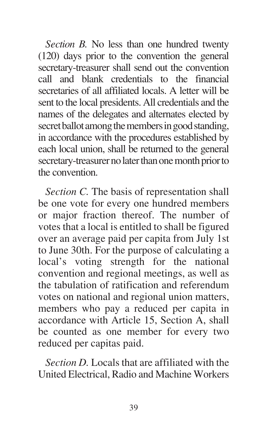*Section B.* No less than one hundred twenty (120) days prior to the convention the general secretary-treasurer shall send out the convention call and blank credentials to the financial secretaries of all affiliated locals. A letter will be sent to the local presidents. All credentials and the names of the delegates and alternates elected by secret ballot among the members in good standing, in accordance with the procedures established by each local union, shall be returned to the general secretary-treasurer no later than one month prior to the convention.

*Section C.* The basis of representation shall be one vote for every one hundred members or major fraction thereof. The number of votes that a local is entitled to shall be figured over an average paid per capita from July 1st to June 30th. For the purpose of calculating a local's voting strength for the national convention and regional meetings, as well as the tabulation of ratification and referendum votes on national and regional union matters, members who pay a reduced per capita in accordance with Article 15, Section A, shall be counted as one member for every two reduced per capitas paid.

*Section D.* Locals that are affiliated with the United Electrical, Radio and Machine Workers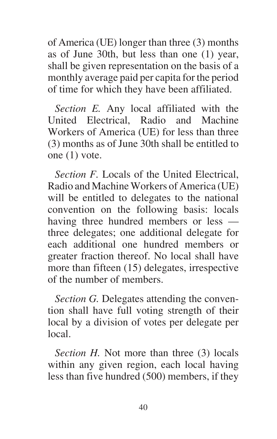of America (UE) longer than three (3) months as of June 30th, but less than one (1) year, shall be given representation on the basis of a monthly average paid per capita for the period of time for which they have been affiliated.

*Section E.* Any local affiliated with the United Electrical, Radio and Machine Workers of America (UE) for less than three (3) months as of June 30th shall be entitled to one (1) vote.

*Section F.* Locals of the United Electrical, Radio and Machine Workers of America (UE) will be entitled to delegates to the national convention on the following basis: locals having three hundred members or less three delegates; one additional delegate for each additional one hundred members or greater fraction thereof. No local shall have more than fifteen (15) delegates, irrespective of the number of members.

*Section G.* Delegates attending the convention shall have full voting strength of their local by a division of votes per delegate per local.

*Section H.* Not more than three (3) locals within any given region, each local having less than five hundred (500) members, if they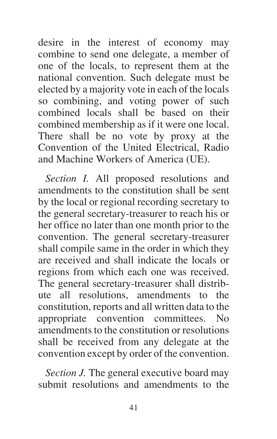desire in the interest of economy may combine to send one delegate, a member of one of the locals, to represent them at the national convention. Such delegate must be elected by a majority vote in each of the locals so combining, and voting power of such combined locals shall be based on their combined membership as if it were one local. There shall be no vote by proxy at the Convention of the United Electrical, Radio and Machine Workers of America (UE).

*Section I.* All proposed resolutions and amendments to the constitution shall be sent by the local or regional recording secretary to the general secretary-treasurer to reach his or her office no later than one month prior to the convention. The general secretary-treasurer shall compile same in the order in which they are received and shall indicate the locals or regions from which each one was received. The general secretary-treasurer shall distribute all resolutions, amendments to the constitution, reports and all written data to the appropriate convention committees. No amendments to the constitution or resolutions shall be received from any delegate at the convention except by order of the convention.

*Section J.* The general executive board may submit resolutions and amendments to the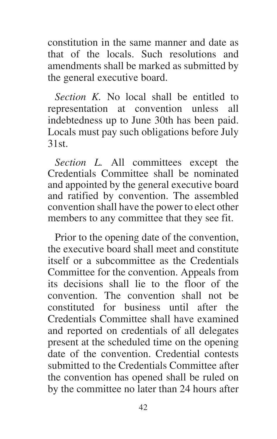constitution in the same manner and date as that of the locals. Such resolutions and amendments shall be marked as submitted by the general executive board.

*Section K.* No local shall be entitled to representation at convention unless all indebtedness up to June 30th has been paid. Locals must pay such obligations before July 31st.

*Section L.* All committees except the Credentials Committee shall be nominated and appointed by the general executive board and ratified by convention. The assembled convention shall have the power to elect other members to any committee that they see fit.

Prior to the opening date of the convention, the executive board shall meet and constitute itself or a subcommittee as the Credentials Committee for the convention. Appeals from its decisions shall lie to the floor of the convention. The convention shall not be constituted for business until after the Credentials Committee shall have examined and reported on credentials of all delegates present at the scheduled time on the opening date of the convention. Credential contests submitted to the Credentials Committee after the convention has opened shall be ruled on by the committee no later than 24 hours after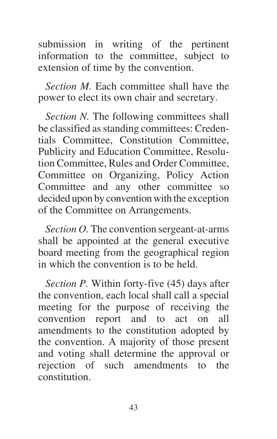submission in writing of the pertinent information to the committee, subject to extension of time by the convention.

*Section M.* Each committee shall have the power to elect its own chair and secretary.

*Section N.* The following committees shall be classified as standing committees: Credentials Committee, Constitution Committee, Publicity and Education Committee, Resolution Committee, Rules and Order Committee, Committee on Organizing, Policy Action Committee and any other committee so decided upon by convention with the exception of the Committee on Arrangements.

*Section O.* The convention sergeant-at-arms shall be appointed at the general executive board meeting from the geographical region in which the convention is to be held.

*Section P.* Within forty-five (45) days after the convention, each local shall call a special meeting for the purpose of receiving the convention report and to act on all amendments to the constitution adopted by the convention. A majority of those present and voting shall determine the approval or rejection of such amendments to the constitution.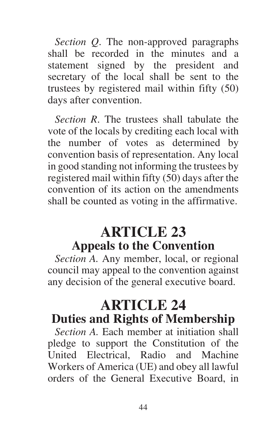*Section Q*. The non-approved paragraphs shall be recorded in the minutes and a statement signed by the president and secretary of the local shall be sent to the trustees by registered mail within fifty (50) days after convention.

*Section R*. The trustees shall tabulate the vote of the locals by crediting each local with the number of votes as determined by convention basis of representation. Any local in good standing not informing the trustees by registered mail within fifty (50) days after the convention of its action on the amendments shall be counted as voting in the affirmative.

#### **ARTICLE 23 Appeals to the Convention**

*Section A.* Any member, local, or regional council may appeal to the convention against any decision of the general executive board.

#### **ARTICLE 24 Duties and Rights of Membership**

*Section A.* Each member at initiation shall pledge to support the Constitution of the United Electrical, Radio and Machine Workers of America (UE) and obey all lawful orders of the General Executive Board, in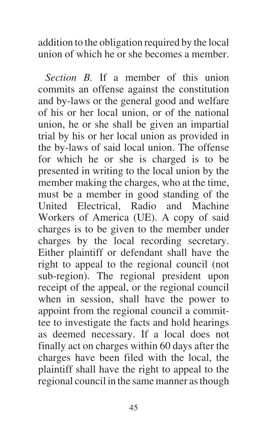addition to the obligation required by the local union of which he or she becomes a member.

*Section B.* If a member of this union commits an offense against the constitution and by-laws or the general good and welfare of his or her local union, or of the national union, he or she shall be given an impartial trial by his or her local union as provided in the by-laws of said local union. The offense for which he or she is charged is to be presented in writing to the local union by the member making the charges, who at the time, must be a member in good standing of the United Electrical, Radio and Machine Workers of America (UE). A copy of said charges is to be given to the member under charges by the local recording secretary. Either plaintiff or defendant shall have the right to appeal to the regional council (not sub-region). The regional president upon receipt of the appeal, or the regional council when in session, shall have the power to appoint from the regional council a committee to investigate the facts and hold hearings as deemed necessary. If a local does not finally act on charges within 60 days after the charges have been filed with the local, the plaintiff shall have the right to appeal to the regional council in the same manner as though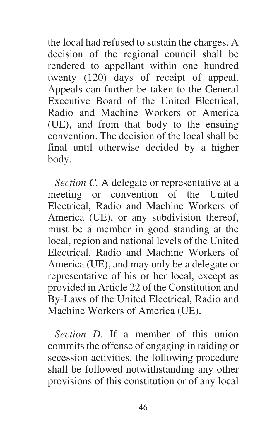the local had refused to sustain the charges. A decision of the regional council shall be rendered to appellant within one hundred twenty (120) days of receipt of appeal. Appeals can further be taken to the General Executive Board of the United Electrical, Radio and Machine Workers of America (UE), and from that body to the ensuing convention. The decision of the local shall be final until otherwise decided by a higher body.

*Section C.* A delegate or representative at a meeting or convention of the United Electrical, Radio and Machine Workers of America (UE), or any subdivision thereof, must be a member in good standing at the local, region and national levels of the United Electrical, Radio and Machine Workers of America (UE), and may only be a delegate or representative of his or her local, except as provided in Article 22 of the Constitution and By-Laws of the United Electrical, Radio and Machine Workers of America (UE).

*Section D.* If a member of this union commits the offense of engaging in raiding or secession activities, the following procedure shall be followed notwithstanding any other provisions of this constitution or of any local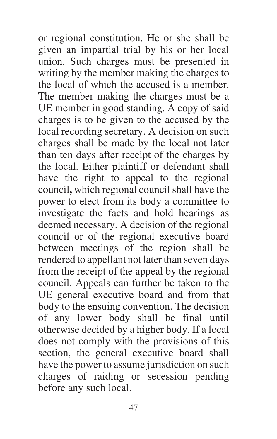or regional constitution. He or she shall be given an impartial trial by his or her local union. Such charges must be presented in writing by the member making the charges to the local of which the accused is a member. The member making the charges must be a UE member in good standing. A copy of said charges is to be given to the accused by the local recording secretary. A decision on such charges shall be made by the local not later than ten days after receipt of the charges by the local. Either plaintiff or defendant shall have the right to appeal to the regional council**,** which regional council shall have the power to elect from its body a committee to investigate the facts and hold hearings as deemed necessary. A decision of the regional council or of the regional executive board between meetings of the region shall be rendered to appellant not later than seven days from the receipt of the appeal by the regional council. Appeals can further be taken to the UE general executive board and from that body to the ensuing convention. The decision of any lower body shall be final until otherwise decided by a higher body. If a local does not comply with the provisions of this section, the general executive board shall have the power to assume jurisdiction on such charges of raiding or secession pending before any such local.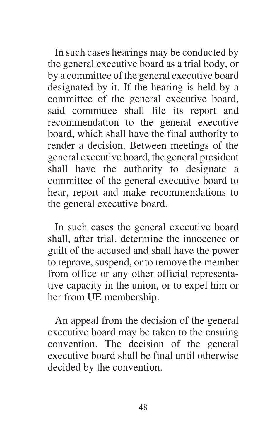In such cases hearings may be conducted by the general executive board as a trial body, or by a committee of the general executive board designated by it. If the hearing is held by a committee of the general executive board, said committee shall file its report and recommendation to the general executive board, which shall have the final authority to render a decision. Between meetings of the general executive board, the general president shall have the authority to designate a committee of the general executive board to hear, report and make recommendations to the general executive board.

In such cases the general executive board shall, after trial, determine the innocence or guilt of the accused and shall have the power to reprove, suspend, or to remove the member from office or any other official representative capacity in the union, or to expel him or her from UE membership.

An appeal from the decision of the general executive board may be taken to the ensuing convention. The decision of the general executive board shall be final until otherwise decided by the convention.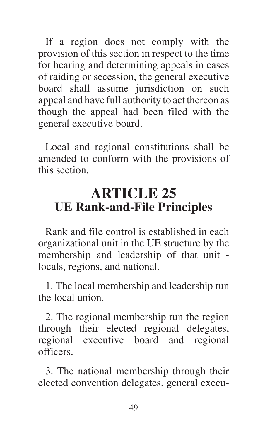If a region does not comply with the provision of this section in respect to the time for hearing and determining appeals in cases of raiding or secession, the general executive board shall assume jurisdiction on such appeal and have full authority to act thereon as though the appeal had been filed with the general executive board.

Local and regional constitutions shall be amended to conform with the provisions of this section.

#### **ARTICLE 25 UE Rank-and-File Principles**

Rank and file control is established in each organizational unit in the UE structure by the membership and leadership of that unit locals, regions, and national.

1. The local membership and leadership run the local union.

2. The regional membership run the region through their elected regional delegates, regional executive board and regional officers.

3. The national membership through their elected convention delegates, general execu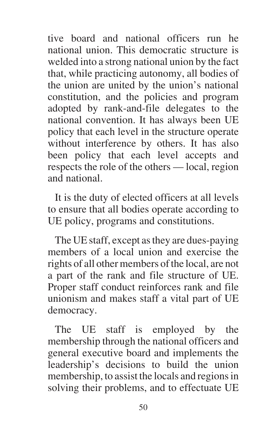tive board and national officers run he national union. This democratic structure is welded into a strong national union by the fact that, while practicing autonomy, all bodies of the union are united by the union's national constitution, and the policies and program adopted by rank-and-file delegates to the national convention. It has always been UE policy that each level in the structure operate without interference by others. It has also been policy that each level accepts and respects the role of the others — local, region and national.

It is the duty of elected officers at all levels to ensure that all bodies operate according to UE policy, programs and constitutions.

The UE staff, except as they are dues-paying members of a local union and exercise the rights of all other members of the local, are not a part of the rank and file structure of UE. Proper staff conduct reinforces rank and file unionism and makes staff a vital part of UE democracy.

The UE staff is employed by the membership through the national officers and general executive board and implements the leadership's decisions to build the union membership, to assist the locals and regions in solving their problems, and to effectuate UE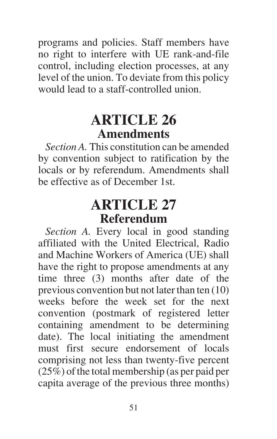programs and policies. Staff members have no right to interfere with UE rank-and-file control, including election processes, at any level of the union. To deviate from this policy would lead to a staff-controlled union.

### **ARTICLE 26 Amendments**

*Section A.* This constitution can be amended by convention subject to ratification by the locals or by referendum. Amendments shall be effective as of December 1st.

#### **ARTICLE 27 Referendum**

*Section A.* Every local in good standing affiliated with the United Electrical, Radio and Machine Workers of America (UE) shall have the right to propose amendments at any time three (3) months after date of the previous convention but not later than ten (10) weeks before the week set for the next convention (postmark of registered letter containing amendment to be determining date). The local initiating the amendment must first secure endorsement of locals comprising not less than twenty-five percent (25%) of the total membership (as per paid per capita average of the previous three months)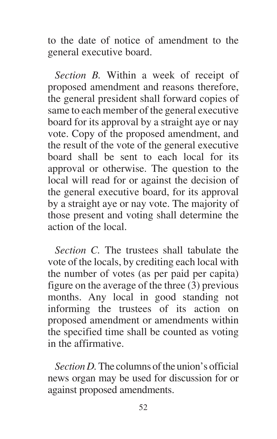to the date of notice of amendment to the general executive board.

*Section B.* Within a week of receipt of proposed amendment and reasons therefore, the general president shall forward copies of same to each member of the general executive board for its approval by a straight aye or nay vote. Copy of the proposed amendment, and the result of the vote of the general executive board shall be sent to each local for its approval or otherwise. The question to the local will read for or against the decision of the general executive board, for its approval by a straight aye or nay vote. The majority of those present and voting shall determine the action of the local.

*Section C.* The trustees shall tabulate the vote of the locals, by crediting each local with the number of votes (as per paid per capita) figure on the average of the three (3) previous months. Any local in good standing not informing the trustees of its action on proposed amendment or amendments within the specified time shall be counted as voting in the affirmative.

*Section D.* The columns of the union's official news organ may be used for discussion for or against proposed amendments.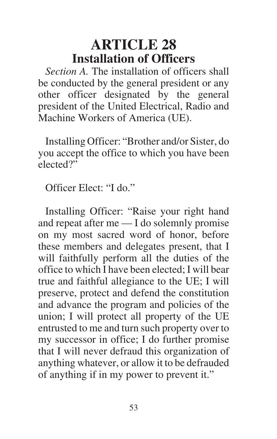#### **ARTICLE 28 Installation of Officers**

*Section A.* The installation of officers shall be conducted by the general president or any other officer designated by the general president of the United Electrical, Radio and Machine Workers of America (UE).

Installing Officer: "Brother and/or Sister, do you accept the office to which you have been elected?"

Officer Elect: "I do."

Installing Officer: "Raise your right hand and repeat after me — I do solemnly promise on my most sacred word of honor, before these members and delegates present, that I will faithfully perform all the duties of the office to which I have been elected; I will bear true and faithful allegiance to the UE; I will preserve, protect and defend the constitution and advance the program and policies of the union; I will protect all property of the UE entrusted to me and turn such property over to my successor in office; I do further promise that I will never defraud this organization of anything whatever, or allow it to be defrauded of anything if in my power to prevent it."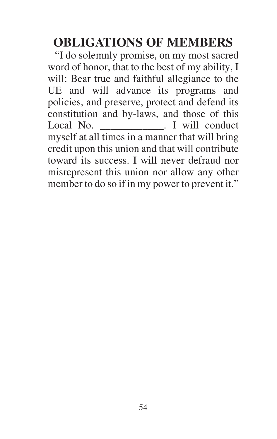## **OBLIGATIONS OF MEMBERS**

"I do solemnly promise, on my most sacred word of honor, that to the best of my ability, I will: Bear true and faithful allegiance to the UE and will advance its programs and policies, and preserve, protect and defend its constitution and by-laws, and those of this Local No. \_\_\_\_\_\_\_\_\_\_\_\_. I will conduct myself at all times in a manner that will bring credit upon this union and that will contribute toward its success. I will never defraud nor misrepresent this union nor allow any other member to do so if in my power to prevent it."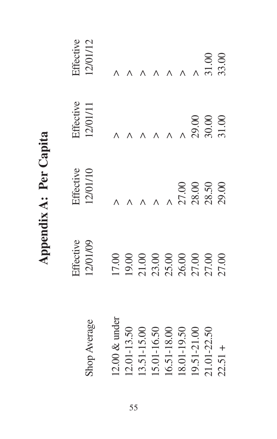|                                        |                                                                                      |                       |                       | Effective |
|----------------------------------------|--------------------------------------------------------------------------------------|-----------------------|-----------------------|-----------|
| Shop Average                           | Effective<br>12/01/09                                                                | Effective<br>12/01/10 | Effective<br>12/01/11 | 12/01/12  |
|                                        |                                                                                      |                       |                       |           |
| $12.00 \& \text{under}$<br>12.01-13.50 |                                                                                      |                       |                       |           |
|                                        | 17.00<br>19.00<br>21.00                                                              |                       |                       |           |
| $13.51 - 15.00$<br>$15.01 - 16.50$     | 23.00                                                                                |                       |                       |           |
|                                        |                                                                                      |                       |                       |           |
| $16.51 - 18.00$ $18.01 - 19.50$        |                                                                                      |                       |                       |           |
|                                        |                                                                                      | 27.00<br>28.00        | 29.00                 |           |
| $19.51 - 21.00$<br>$21.01 - 22.50$     | $\begin{array}{c} 25.00 \\ 26.00 \\ 27.00 \\ 27.00 \\ 27.00 \\ 27.00 \\ \end{array}$ | 28.50<br>29.00        | 30.00<br>31.00        | 31.00     |
| $22.51 +$                              |                                                                                      |                       |                       | 33.00     |

Appendix A: Per Capita **Appendix A: Per Capita**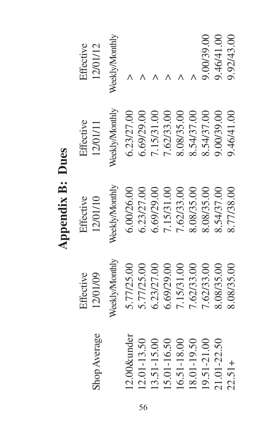|              | 12/01/09<br>Effective | 12/01/10<br>Effective | Effective<br>12/01/11 | Effective<br>12/01/12 |
|--------------|-----------------------|-----------------------|-----------------------|-----------------------|
| Shop Average |                       |                       |                       |                       |
|              | Weekly/Monthly        | <b>Neekly/Monthly</b> | Veekly/Monthly        | Weekly/Monthly        |
| 12.00&under  | 5.77/25.00            | 6.00/26.00            | 6.23/27.00            |                       |
| 12.01-13.50  | 5.77/25.00            | 6.23/27.00            | 6.69/29.00            |                       |
| 13.51-15.00  | 6.23/27.00            | 6.69/29.00            | 7.15/31.00            |                       |
| 15.01-16.50  | 6.69/29.00            | 7.15/31.00            | 7.62/33.00            |                       |
| 16.51-18.00  | 7.15/31.00            | 7.62/33.00            | 8.08/35.00            |                       |
| 18.01-19.50  | 7.62/33.00            | 8.08/35.00            | 8.54/37.00            |                       |
| 19.51-21.00  | 7.62/33.00            | 8.08/35.00            | 8.54/37.00            | 9.00/39.00            |
| 21.01-22.50  | 8.08/35.00            | 8.54/37.00            | 9.00/39.00            | 9.46/41.00            |
| $22.51+$     | 8.08/35.00            | 8.77/38.00            | 9.46/41.00            | 9.92/43.00            |
|              |                       |                       |                       |                       |

# **Appendix B: Dues Appendix B: Dues**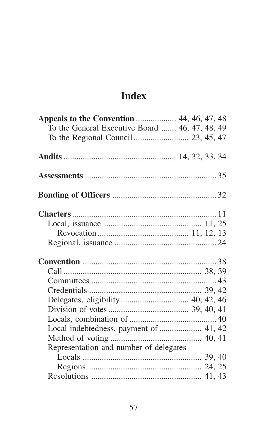#### **Index**

| To the General Executive Board  46, 47, 48, 49 |  |  |
|------------------------------------------------|--|--|
|                                                |  |  |
|                                                |  |  |
|                                                |  |  |
|                                                |  |  |
|                                                |  |  |
|                                                |  |  |
|                                                |  |  |
|                                                |  |  |
|                                                |  |  |
|                                                |  |  |
|                                                |  |  |
|                                                |  |  |
|                                                |  |  |
|                                                |  |  |
|                                                |  |  |
|                                                |  |  |
|                                                |  |  |
|                                                |  |  |
|                                                |  |  |
|                                                |  |  |
|                                                |  |  |
|                                                |  |  |
| Representation and number of delegates         |  |  |
|                                                |  |  |
|                                                |  |  |
|                                                |  |  |
|                                                |  |  |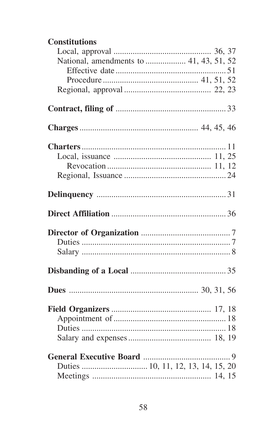#### **Constitutions**

| National, amendments to  41, 43, 51, 52 |
|-----------------------------------------|
|                                         |
|                                         |
|                                         |
|                                         |
|                                         |
|                                         |
|                                         |
|                                         |
|                                         |
|                                         |
|                                         |
|                                         |
|                                         |
|                                         |
|                                         |
|                                         |
|                                         |
|                                         |
|                                         |
|                                         |
|                                         |
|                                         |
|                                         |
|                                         |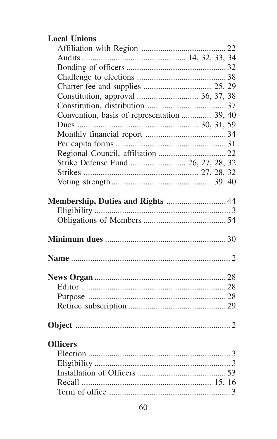#### **Local Unions**

| Convention, basis of representation  39, 40 |  |
|---------------------------------------------|--|
|                                             |  |
|                                             |  |
|                                             |  |
|                                             |  |
| Strike Defense Fund  26, 27, 28, 32         |  |
|                                             |  |
|                                             |  |
|                                             |  |
| Membership, Duties and Rights  44           |  |
|                                             |  |
|                                             |  |
|                                             |  |
|                                             |  |
|                                             |  |
|                                             |  |
|                                             |  |
|                                             |  |
|                                             |  |
|                                             |  |
|                                             |  |
|                                             |  |
|                                             |  |
| <b>Officers</b>                             |  |
|                                             |  |
|                                             |  |
|                                             |  |
|                                             |  |
|                                             |  |
|                                             |  |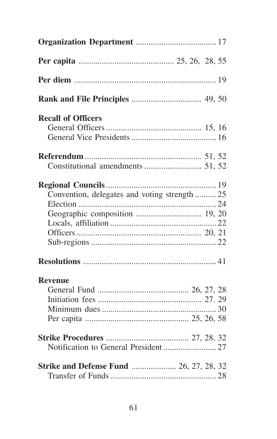| <b>Recall of Officers</b>                      |  |
|------------------------------------------------|--|
|                                                |  |
|                                                |  |
|                                                |  |
|                                                |  |
|                                                |  |
| Convention, delegates and voting strength  25  |  |
|                                                |  |
| Geographic composition  19, 20                 |  |
|                                                |  |
|                                                |  |
|                                                |  |
|                                                |  |
| <b>Revenue</b>                                 |  |
|                                                |  |
|                                                |  |
|                                                |  |
|                                                |  |
|                                                |  |
|                                                |  |
| <b>Strike and Defense Fund  26, 27, 28, 32</b> |  |
|                                                |  |